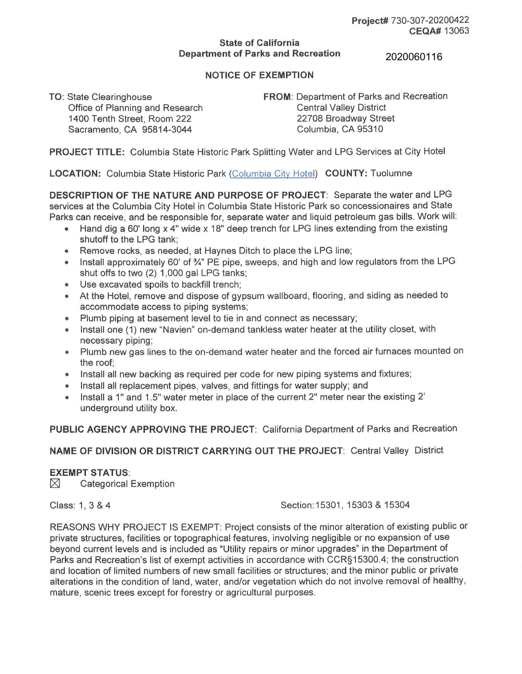## **State of California Department of Parks and Recreation**

2020060116

## **NOTICE OF EXEMPTION**

Office of Planning and Research Central Valley District 1400 Tenth Street, Room 222 Sacramento, CA 95814-3044

**TO:** State Clearinghouse **FROM:** Department of Parks and Recreation 22708 Broadway Street Columbia, CA 95310

**PROJECT TITLE:** Columbia State Historic Park Splitting Water and LPG Services at City Hotel

**LOCATION:** Columbia State Historic Park (Columbia City Hotel) **COUNTY:** Tuolumne

**DESCRIPTION OF THE NATURE AND PURPOSE OF PROJECT:** Separate the water and LPG services at the Columbia City Hotel in Columbia State Historic Park so concessionaires and State Parks can receive, and be responsible for, separate water and liquid petroleum gas bills. Work will:

- Hand dig a 60' long x 4" wide x 18" deep trench for LPG lines extending from the existing shutoff to the LPG tank;
- Remove rocks, as needed, at Haynes Ditch to place the LPG line;
- Install approximately 60' of 3⁄4" PE pipe, sweeps, and high and low regulators from the LPG shut offs to two (2) 1,000 gal LPG tanks;
- Use excavated spoils to backfill trench;
- At the Hotel, remove and dispose of gypsum wallboard, flooring, and siding as needed to accommodate access to piping systems;
- Plumb piping at basement level to tie in and connect as necessary;
- $\bullet$ Install one (1) new "Navien" on-demand tankless water heater at the utility closet, with necessary piping;
- Plumb new gas lines to the on-demand water heater and the forced air furnaces mounted on the roof;
- Install all new backing as required per code for new piping systems and fixtures;
- Install all replacement pipes, valves, and fittings for water supply; and
- $\bullet$ Install a 1" and 1.5" water meter in place of the current 2" meter near the existing 2' underground utility box.

**PUBLIC AGENCY APPROVING THE PROJECT:** California Department of Parks and Recreation

**NAME OF DIVISION OR DISTRICT CARRYING OUT THE PROJECT:** Central Valley District

## **EXEMPT STATUS:**

 $\boxtimes$  Categorical Exemption

Class: 1 , 3 & 4 Section: 15301 , 15303 & 15304

REASONS WHY PROJECT IS EXEMPT: Project consists of the minor alteration of existing public or private structures, facilities or topographical features, involving negligible or no expansion of use beyond current levels and is included as "Utility repairs or minor upgrades" in the Department of Parks and Recreation's list of exempt activities in accordance with CCR§15300.4; the construction and location of limited numbers of new small facilities or structures; and the minor public or private alterations in the condition of land, water, and/or vegetation which do not involve removal of healthy, mature, scenic trees except for forestry or agricultural purposes.